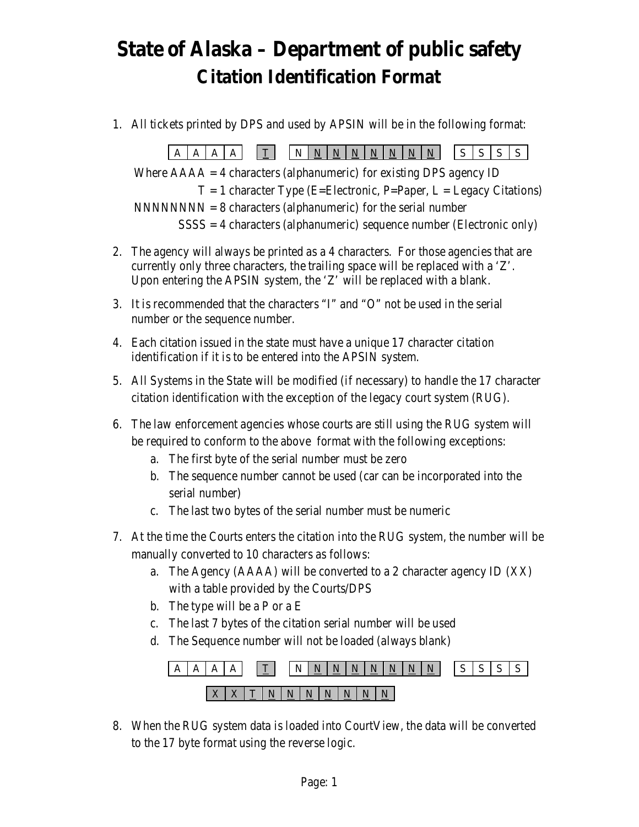## **State of Alaska – Department of public safety Citation Identification Format**

1. All tickets printed by DPS and used by APSIN will be in the following format:

 $A A A A \boxed{I} \boxed{N N N N N N N N N N N N S |S| S$ Where  $AAAA = 4$  characters (alphanumeric) for existing DPS agency ID  $T = 1$  character Type (E=Electronic, P=Paper, L = Legacy Citations)  $NNNNNNN = 8$  characters (alphanumeric) for the serial number  $SSSS = 4$  characters (alphanumeric) sequence number (Electronic only)

- 2. The agency will always be printed as a 4 characters. For those agencies that are currently only three characters, the trailing space will be replaced with a 'Z'. Upon entering the APSIN system, the 'Z' will be replaced with a blank.
- 3. It is recommended that the characters "I" and "O" not be used in the serial number or the sequence number.
- 4. Each citation issued in the state must have a unique 17 character citation identification if it is to be entered into the APSIN system.
- 5. All Systems in the State will be modified (if necessary) to handle the 17 character citation identification with the exception of the legacy court system (RUG).
- 6. The law enforcement agencies whose courts are still using the RUG system will be required to conform to the above format with the following exceptions:
	- a. The first byte of the serial number must be zero
	- b. The sequence number cannot be used (car can be incorporated into the serial number)
	- c. The last two bytes of the serial number must be numeric
- 7. At the time the Courts enters the citation into the RUG system, the number will be manually converted to 10 characters as follows:
	- a. The Agency (AAAA) will be converted to a 2 character agency ID (XX) with a table provided by the Courts/DPS
	- b. The type will be a P or a E
	- c. The last 7 bytes of the citation serial number will be used
	- d. The Sequence number will not be loaded (always blank)



8. When the RUG system data is loaded into CourtView, the data will be converted to the 17 byte format using the reverse logic.